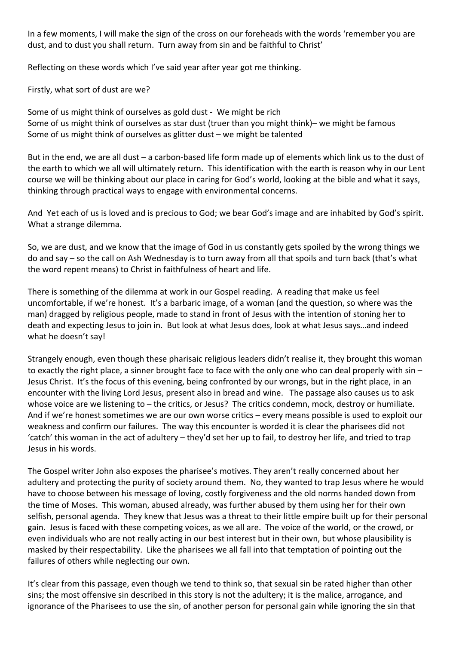In a few moments, I will make the sign of the cross on our foreheads with the words 'remember you are dust, and to dust you shall return. Turn away from sin and be faithful to Christ'

Reflecting on these words which I've said year after year got me thinking.

Firstly, what sort of dust are we?

Some of us might think of ourselves as gold dust - We might be rich Some of us might think of ourselves as star dust (truer than you might think)– we might be famous Some of us might think of ourselves as glitter dust – we might be talented

But in the end, we are all dust – a carbon-based life form made up of elements which link us to the dust of the earth to which we all will ultimately return. This identification with the earth is reason why in our Lent course we will be thinking about our place in caring for God's world, looking at the bible and what it says, thinking through practical ways to engage with environmental concerns.

And Yet each of us is loved and is precious to God; we bear God's image and are inhabited by God's spirit. What a strange dilemma.

So, we are dust, and we know that the image of God in us constantly gets spoiled by the wrong things we do and say – so the call on Ash Wednesday is to turn away from all that spoils and turn back (that's what the word repent means) to Christ in faithfulness of heart and life.

There is something of the dilemma at work in our Gospel reading. A reading that make us feel uncomfortable, if we're honest. It's a barbaric image, of a woman (and the question, so where was the man) dragged by religious people, made to stand in front of Jesus with the intention of stoning her to death and expecting Jesus to join in. But look at what Jesus does, look at what Jesus says…and indeed what he doesn't say!

Strangely enough, even though these pharisaic religious leaders didn't realise it, they brought this woman to exactly the right place, a sinner brought face to face with the only one who can deal properly with sin – Jesus Christ. It's the focus of this evening, being confronted by our wrongs, but in the right place, in an encounter with the living Lord Jesus, present also in bread and wine. The passage also causes us to ask whose voice are we listening to – the critics, or Jesus? The critics condemn, mock, destroy or humiliate. And if we're honest sometimes we are our own worse critics – every means possible is used to exploit our weakness and confirm our failures. The way this encounter is worded it is clear the pharisees did not 'catch' this woman in the act of adultery – they'd set her up to fail, to destroy her life, and tried to trap Jesus in his words.

The Gospel writer John also exposes the pharisee's motives. They aren't really concerned about her adultery and protecting the purity of society around them. No, they wanted to trap Jesus where he would have to choose between his message of loving, costly forgiveness and the old norms handed down from the time of Moses. This woman, abused already, was further abused by them using her for their own selfish, personal agenda. They knew that Jesus was a threat to their little empire built up for their personal gain. Jesus is faced with these competing voices, as we all are. The voice of the world, or the crowd, or even individuals who are not really acting in our best interest but in their own, but whose plausibility is masked by their respectability. Like the pharisees we all fall into that temptation of pointing out the failures of others while neglecting our own.

It's clear from this passage, even though we tend to think so, that sexual sin be rated higher than other sins; the most offensive sin described in this story is not the adultery; it is the malice, arrogance, and ignorance of the Pharisees to use the sin, of another person for personal gain while ignoring the sin that